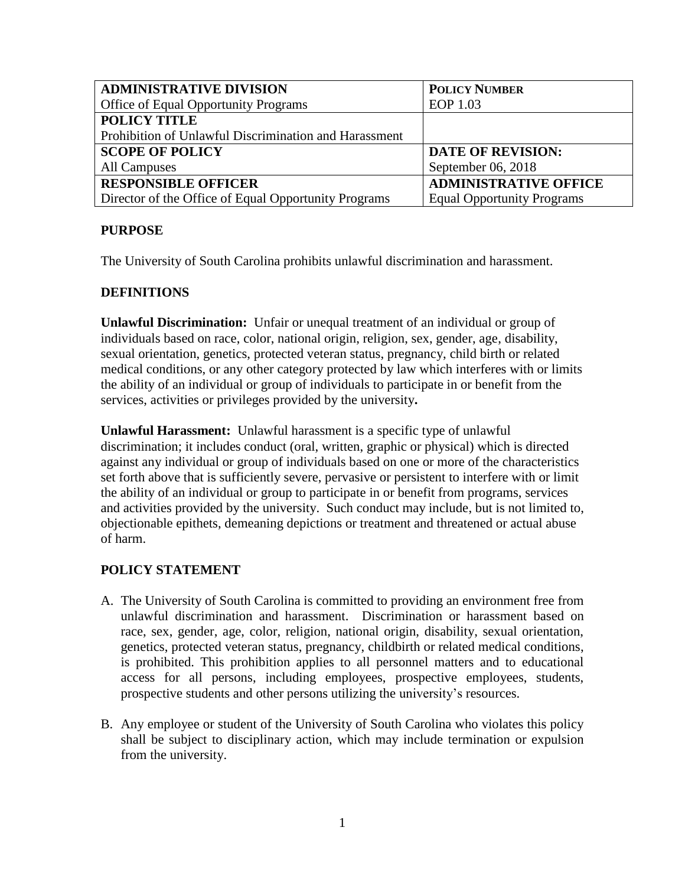| <b>ADMINISTRATIVE DIVISION</b>                        | <b>POLICY NUMBER</b>              |
|-------------------------------------------------------|-----------------------------------|
| <b>Office of Equal Opportunity Programs</b>           | EOP 1.03                          |
| <b>POLICY TITLE</b>                                   |                                   |
| Prohibition of Unlawful Discrimination and Harassment |                                   |
| <b>SCOPE OF POLICY</b>                                | <b>DATE OF REVISION:</b>          |
| All Campuses                                          | September $06, 2018$              |
| <b>RESPONSIBLE OFFICER</b>                            | <b>ADMINISTRATIVE OFFICE</b>      |
| Director of the Office of Equal Opportunity Programs  | <b>Equal Opportunity Programs</b> |

#### **PURPOSE**

The University of South Carolina prohibits unlawful discrimination and harassment.

### **DEFINITIONS**

**Unlawful Discrimination:** Unfair or unequal treatment of an individual or group of individuals based on race, color, national origin, religion, sex, gender, age, disability, sexual orientation, genetics, protected veteran status, pregnancy, child birth or related medical conditions, or any other category protected by law which interferes with or limits the ability of an individual or group of individuals to participate in or benefit from the services, activities or privileges provided by the university**.** 

**Unlawful Harassment:** Unlawful harassment is a specific type of unlawful discrimination; it includes conduct (oral, written, graphic or physical) which is directed against any individual or group of individuals based on one or more of the characteristics set forth above that is sufficiently severe, pervasive or persistent to interfere with or limit the ability of an individual or group to participate in or benefit from programs, services and activities provided by the university. Such conduct may include, but is not limited to, objectionable epithets, demeaning depictions or treatment and threatened or actual abuse of harm.

# **POLICY STATEMENT**

- A. The University of South Carolina is committed to providing an environment free from unlawful discrimination and harassment. Discrimination or harassment based on race, sex, gender, age, color, religion, national origin, disability, sexual orientation, genetics, protected veteran status, pregnancy, childbirth or related medical conditions, is prohibited. This prohibition applies to all personnel matters and to educational access for all persons, including employees, prospective employees, students, prospective students and other persons utilizing the university's resources.
- B. Any employee or student of the University of South Carolina who violates this policy shall be subject to disciplinary action, which may include termination or expulsion from the university.